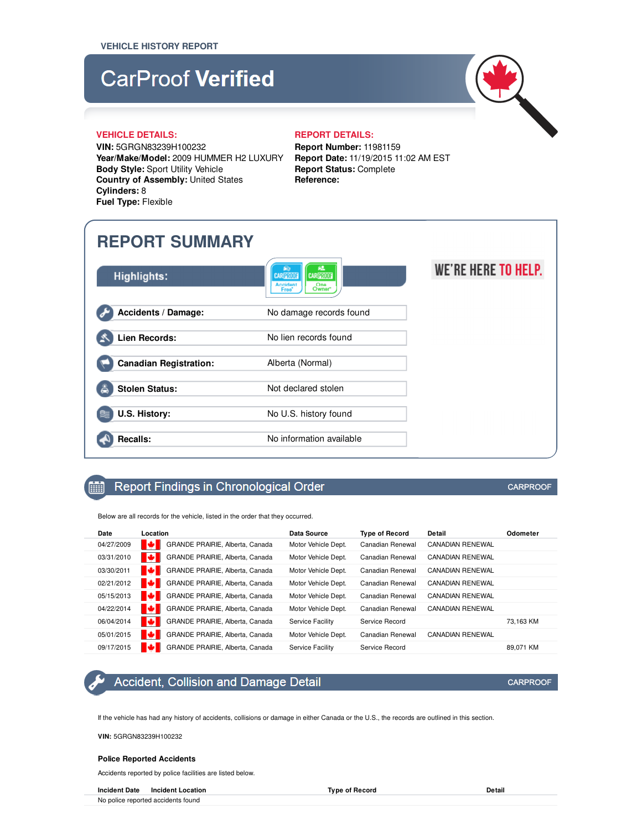# **CarProof Verified**



#### **VEHICLE DETAILS: REPORT DETAILS:**

**VIN:** 5GRGN83239H100232 **Year/Make/Model:** 2009 HUMMER H2 LUXURY **Body Style:** Sport Utility Vehicle **Country of Assembly:** United States **Cylinders:** 8 **Fuel Type:** Flexible

**Report Number:** 11981159 **Report Date:** 11/19/2015 11:02 AM EST **Report Status:** Complete

## **REPORT SUMMARY**

| <b>Highlights:</b>            | 62<br><b>PIG</b><br><b>CARPROOF</b><br><b>CARPROOF</b><br><b>Accident</b><br>One<br>Owner<br>Free' | WE'RE HERE TO HELP. |
|-------------------------------|----------------------------------------------------------------------------------------------------|---------------------|
| Accidents / Damage:           | No damage records found                                                                            |                     |
| Lien Records:                 | No lien records found                                                                              |                     |
| <b>Canadian Registration:</b> | Alberta (Normal)                                                                                   |                     |
| <b>Stolen Status:</b><br>e    | Not declared stolen                                                                                |                     |
| U.S. History:                 | No U.S. history found                                                                              |                     |
| <b>Recalls:</b>               | No information available                                                                           |                     |

**Reference:**

## Report Findings in Chronological Order

Below are all records for the vehicle, listed in the order that they occurred.

| Date       | Location                             | Data Source         | <b>Type of Record</b> | Detail                  | Odometer  |
|------------|--------------------------------------|---------------------|-----------------------|-------------------------|-----------|
| 04/27/2009 | м<br>GRANDE PRAIRIE, Alberta, Canada | Motor Vehicle Dept. | Canadian Renewal      | <b>CANADIAN RENEWAL</b> |           |
| 03/31/2010 | м<br>GRANDE PRAIRIE, Alberta, Canada | Motor Vehicle Dept. | Canadian Renewal      | <b>CANADIAN RENEWAL</b> |           |
| 03/30/2011 | м<br>GRANDE PRAIRIE, Alberta, Canada | Motor Vehicle Dept. | Canadian Renewal      | <b>CANADIAN RENEWAL</b> |           |
| 02/21/2012 | м<br>GRANDE PRAIRIE, Alberta, Canada | Motor Vehicle Dept. | Canadian Renewal      | <b>CANADIAN RENEWAL</b> |           |
| 05/15/2013 | м<br>GRANDE PRAIRIE, Alberta, Canada | Motor Vehicle Dept. | Canadian Renewal      | <b>CANADIAN RENEWAL</b> |           |
| 04/22/2014 | м<br>GRANDE PRAIRIE, Alberta, Canada | Motor Vehicle Dept. | Canadian Renewal      | <b>CANADIAN RENEWAL</b> |           |
| 06/04/2014 | м<br>GRANDE PRAIRIE, Alberta, Canada | Service Facility    | Service Record        |                         | 73.163 KM |
| 05/01/2015 | м<br>GRANDE PRAIRIE, Alberta, Canada | Motor Vehicle Dept. | Canadian Renewal      | <b>CANADIAN RENEWAL</b> |           |
| 09/17/2015 | GRANDE PRAIRIE, Alberta, Canada      | Service Facility    | Service Record        |                         | 89.071 KM |

## Accident, Collision and Damage Detail

If the vehicle has had any history of accidents, collisions or damage in either Canada or the U.S., the records are outlined in this section.

**VIN:** 5GRGN83239H100232

**FOR A** 

#### **Police Reported Accidents**

Accidents reported by police facilities are listed below.

**Incident Date Incident Location Type of Record Detail**

No police reported accidents found

**CARPROOF** 

**CARPROOF**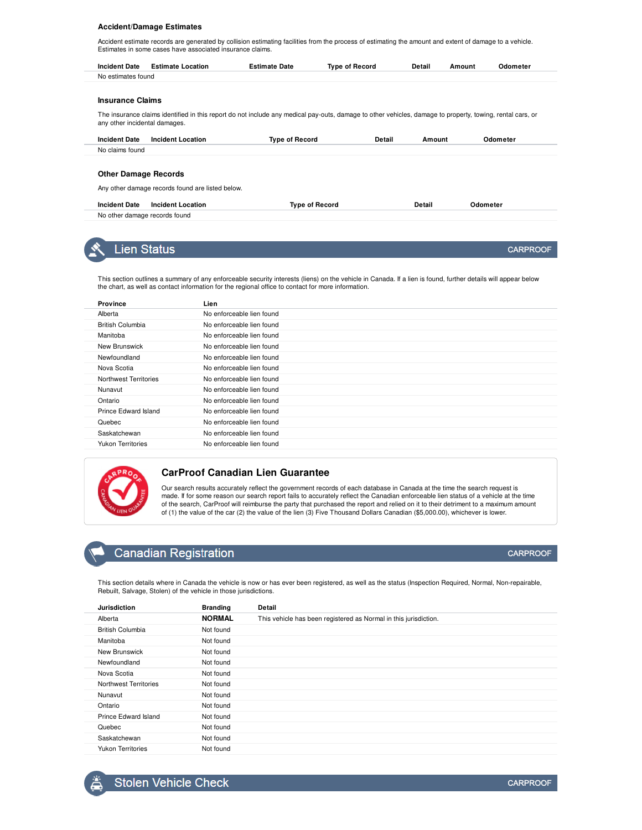#### **Accident/Damage Estimates**

Accident estimate records are generated by collision estimating facilities from the process of estimating the amount and extent of damage to a vehicle. Estimates in some cases have associated insurance claims.

| <b>Incident Date</b> | <b>Estimate Location</b> | Estimate Date | <b>Type of Record</b> | Detail | Amount | Odometer |
|----------------------|--------------------------|---------------|-----------------------|--------|--------|----------|
| No estimates found   |                          |               |                       |        |        |          |

#### **Insurance Claims**

The insurance claims identified in this report do not include any medical pay-outs, damage to other vehicles, damage to property, towing, rental cars, or any other incidental damages.

| <b>Incident Date</b> | Incident Location | Tvpe of Record | Detail | Amount | Odometer |
|----------------------|-------------------|----------------|--------|--------|----------|
| No claims found      |                   |                |        |        |          |

#### **Other Damage Records**

Any other damage records found are listed below.

| <b>Incident Date</b>          | <b>Incident Location</b> | Type of Record | Detail | )dometer |
|-------------------------------|--------------------------|----------------|--------|----------|
| No other damage records found |                          |                |        |          |



## **Lien Status**

This section outlines a summary of any enforceable security interests (liens) on the vehicle in Canada. If a lien is found, further details will appear below the chart, as well as contact information for the regional office to contact for more information.

| <b>Province</b>          | Lien                      |
|--------------------------|---------------------------|
| Alberta                  | No enforceable lien found |
| British Columbia         | No enforceable lien found |
| Manitoba                 | No enforceable lien found |
| New Brunswick            | No enforceable lien found |
| Newfoundland             | No enforceable lien found |
| Nova Scotia              | No enforceable lien found |
| Northwest Territories    | No enforceable lien found |
| Nunavut                  | No enforceable lien found |
| Ontario                  | No enforceable lien found |
| Prince Edward Island     | No enforceable lien found |
| Quebec                   | No enforceable lien found |
| Saskatchewan             | No enforceable lien found |
| <b>Yukon Territories</b> | No enforceable lien found |
|                          |                           |



#### **CarProof Canadian Lien Guarantee**

Our search results accurately reflect the government records of each database in Canada at the time the search request is made. If for some reason our search report fails to accurately reflect the Canadian enforceable lien status of a vehicle at the time of the search, CarProof will reimburse the party that purchased the report and relied on it to their detriment to a maximum amount of (1) the value of the car (2) the value of the lien (3) Five Thousand Dollars Canadian (\$5,000.00), whichever is lower.

## **Canadian Registration**

This section details where in Canada the vehicle is now or has ever been registered, as well as the status (Inspection Required, Normal, Non-repairable, Rebuilt, Salvage, Stolen) of the vehicle in those jurisdictions.

| <b>Jurisdiction</b>      | <b>Branding</b> | Detail                                                           |
|--------------------------|-----------------|------------------------------------------------------------------|
| Alberta                  | <b>NORMAL</b>   | This vehicle has been registered as Normal in this jurisdiction. |
| <b>British Columbia</b>  | Not found       |                                                                  |
| Manitoba                 | Not found       |                                                                  |
| New Brunswick            | Not found       |                                                                  |
| Newfoundland             | Not found       |                                                                  |
| Nova Scotia              | Not found       |                                                                  |
| Northwest Territories    | Not found       |                                                                  |
| Nunavut                  | Not found       |                                                                  |
| Ontario                  | Not found       |                                                                  |
| Prince Edward Island     | Not found       |                                                                  |
| Quebec                   | Not found       |                                                                  |
| Saskatchewan             | Not found       |                                                                  |
| <b>Yukon Territories</b> | Not found       |                                                                  |

**CARPROOF** 

**CARPROOF**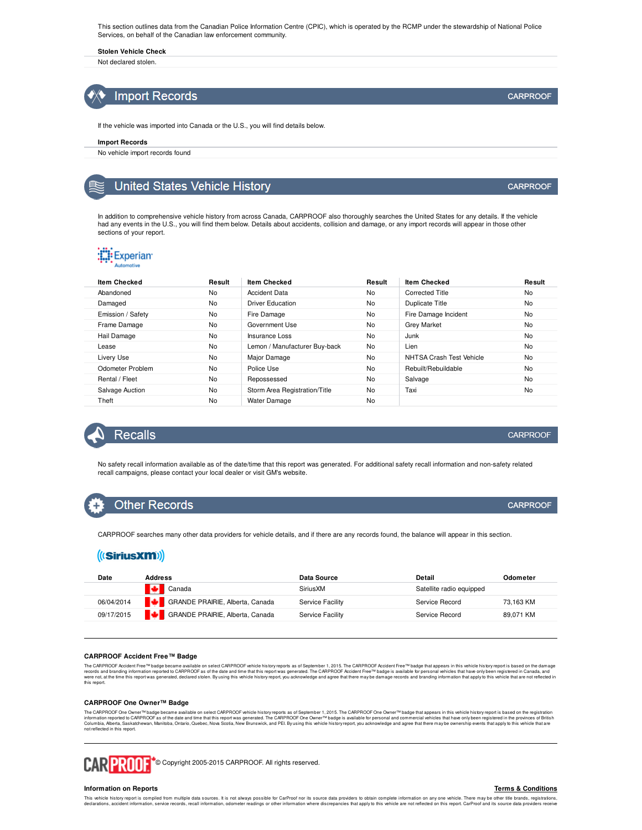This section outlines data from the Canadian Police Information Centre (CPIC), which is operated by the RCMP under the stewardship of National Police Services, on behalf of the Canadian law enforcement community.

**Stolen Vehicle Check**

Not declared stolen.



If the vehicle was imported into Canada or the U.S., you will find details below.

#### **Import Records**

No vehicle import records found

### **United States Vehicle History**

In addition to comprehensive vehicle history from across Canada, CARPROOF also thoroughly searches the United States for any details. If the vehicle had any events in the U.S., you will find them below. Details about accidents, collision and damage, or any import records will appear in those other sections of your report.

## **:E:** Experian

| <b>Item Checked</b> | Result    | <b>Item Checked</b>           | Result | <b>Item Checked</b>      | Result    |
|---------------------|-----------|-------------------------------|--------|--------------------------|-----------|
| Abandoned           | No        | <b>Accident Data</b>          | No     | Corrected Title          | <b>No</b> |
| Damaged             | No        | <b>Driver Education</b>       | No     | Duplicate Title          | <b>No</b> |
| Emission / Safety   | No        | Fire Damage                   | No     | Fire Damage Incident     | <b>No</b> |
| Frame Damage        | No        | Government Use                | No     | <b>Grey Market</b>       | <b>No</b> |
| Hail Damage         | No        | Insurance Loss                | No     | Junk                     | <b>No</b> |
| Lease               | <b>No</b> | Lemon / Manufacturer Buy-back | No     | Lien                     | <b>No</b> |
| Livery Use          | No        | Major Damage                  | No     | NHTSA Crash Test Vehicle | <b>No</b> |
| Odometer Problem    | No        | Police Use                    | No     | Rebuilt/Rebuildable      | <b>No</b> |
| Rental / Fleet      | No        | Repossessed                   | No     | Salvage                  | <b>No</b> |
| Salvage Auction     | No        | Storm Area Registration/Title | No     | Taxi                     | No        |
| Theft               | No        | Water Damage                  | No     |                          |           |



No safety recall information available as of the date/time that this report was generated. For additional safety recall information and non-safety related recall campaigns, please contact your local dealer or visit GM's website.

## **Other Records**

CARPROOF searches many other data providers for vehicle details, and if there are any records found, the balance will appear in this section.

## ((SiriusXM))

| Date       | <b>Address</b>                  | Data Source      | Detail                   | Odometer  |
|------------|---------------------------------|------------------|--------------------------|-----------|
|            | Canada                          | SiriusXM         | Satellite radio equipped |           |
| 06/04/2014 | GRANDE PRAIRIE, Alberta, Canada | Service Facility | Service Record           | 73.163 KM |
| 09/17/2015 | GRANDE PRAIRIE, Alberta, Canada | Service Facility | Service Record           | 89,071 KM |
|            |                                 |                  |                          |           |

#### **CARPROOF Accident Free™ Badge**

The CAPROCF Accident Free <sup>w</sup>badge became available on select CAPROOF which yersuas as of September 1, 2015. The CAPROOF Accident Free <sup>nu</sup> badge that appears in this whicle history represent a proportion of the came and a

#### **CARPROOF One Owner™ Badge**

The CARPROOF One Owner™badge became available on select CARPROOF vehicle historyreports as of September 1, 2015. The CARPROOF One Owner™badge that appears in this vehicle history report is based on the registration report not reflected in this report.



CARPROOF<sup>+</sup>® Copyright 2005-2015 CARPROOF. All rights reserved.

#### **Information on Reports**

**Terms & Conditions**

This vehicle histoy report is complied for multiple data sources. It is not always possible for CarProd nor its source data providers to obtain complete information any one vehicle that sucked the basis of the find on the

**CARPROOF** 

**CARPROOF** 

**CARPROOF** 

**CARPROOF**